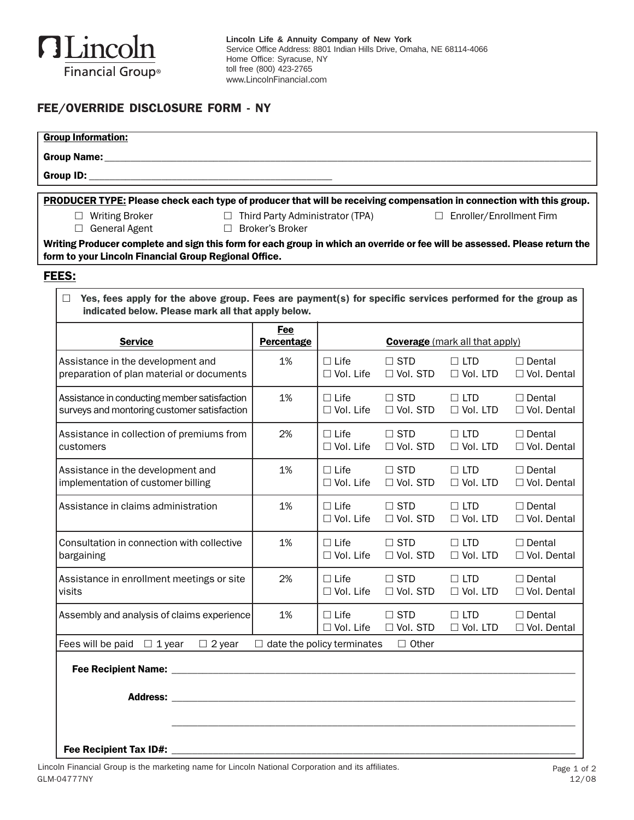

## FEE/OVERRIDE DISCLOSURE FORM - NY

| <b>Group Information:</b>                                                                                                                                                                                                                                                                              |                                                             |                                 |                                  |                                       |                                     |
|--------------------------------------------------------------------------------------------------------------------------------------------------------------------------------------------------------------------------------------------------------------------------------------------------------|-------------------------------------------------------------|---------------------------------|----------------------------------|---------------------------------------|-------------------------------------|
| Group ID:                                                                                                                                                                                                                                                                                              |                                                             |                                 |                                  |                                       |                                     |
|                                                                                                                                                                                                                                                                                                        |                                                             |                                 |                                  |                                       |                                     |
| <b>PRODUCER TYPE:</b> Please check each type of producer that will be receiving compensation in connection with this group.<br>$\Box$ Writing Broker<br>□ General Agent<br>Writing Producer complete and sign this form for each group in which an override or fee will be assessed. Please return the | $\Box$ Third Party Administrator (TPA)<br>□ Broker's Broker |                                 |                                  | □ Enroller/Enrollment Firm            |                                     |
| form to your Lincoln Financial Group Regional Office.                                                                                                                                                                                                                                                  |                                                             |                                 |                                  |                                       |                                     |
| FEES:                                                                                                                                                                                                                                                                                                  |                                                             |                                 |                                  |                                       |                                     |
| Yes, fees apply for the above group. Fees are payment(s) for specific services performed for the group as<br>indicated below. Please mark all that apply below.                                                                                                                                        |                                                             |                                 |                                  |                                       |                                     |
| <b>Service</b>                                                                                                                                                                                                                                                                                         | <b>Fee</b><br>Percentage                                    |                                 |                                  | <b>Coverage</b> (mark all that apply) |                                     |
| Assistance in the development and<br>preparation of plan material or documents                                                                                                                                                                                                                         | 1%                                                          | $\Box$ Life<br>$\Box$ Vol. Life | $\square$ STD<br>$\Box$ Vol. STD | $\Box$ LTD<br>$\Box$ Vol. LTD         | $\Box$ Dental<br>$\Box$ Vol. Dental |
| Assistance in conducting member satisfaction<br>surveys and montoring customer satisfaction                                                                                                                                                                                                            | 1%                                                          | $\Box$ Life<br>$\Box$ Vol. Life | $\square$ STD<br>$\Box$ Vol. STD | $\Box$ LTD<br>$\Box$ Vol. LTD         | $\Box$ Dental<br>$\Box$ Vol. Dental |
| Assistance in collection of premiums from<br>customers                                                                                                                                                                                                                                                 | 2%                                                          | $\Box$ Life<br>$\Box$ Vol. Life | $\Box$ STD<br>$\Box$ Vol. STD    | $\Box$ LTD<br>$\Box$ Vol. LTD         | $\Box$ Dental<br>□ Vol. Dental      |
| Assistance in the development and<br>implementation of customer billing                                                                                                                                                                                                                                | 1%                                                          | $\Box$ Life<br>$\Box$ Vol. Life | $\Box$ STD<br>$\Box$ Vol. STD    | $\Box$ LTD<br>$\Box$ Vol. LTD         | $\Box$ Dental<br>$\Box$ Vol. Dental |
| Assistance in claims administration                                                                                                                                                                                                                                                                    | 1%                                                          | $\Box$ Life<br>$\Box$ Vol. Life | $\square$ STD<br>$\Box$ Vol. STD | $\Box$ LTD<br>$\Box$ Vol. LTD         | $\Box$ Dental<br>□ Vol. Dental      |
| Consultation in connection with collective<br>bargaining                                                                                                                                                                                                                                               | 1%                                                          | $\Box$ Life<br>$\Box$ Vol. Life | $\Box$ STD<br>$\Box$ Vol. STD    | $\Box$ LTD<br>$\Box$ Vol. LTD         | $\Box$ Dental<br>□ Vol. Dental      |
| Assistance in enrollment meetings or site<br>visits                                                                                                                                                                                                                                                    | 2%                                                          | $\Box$ Life<br>$\Box$ Vol. Life | $\square$ STD<br>$\Box$ Vol. STD | $\Box$ LTD<br>$\Box$ Vol. LTD         | $\Box$ Dental<br>□ Vol. Dental      |
| Assembly and analysis of claims experience                                                                                                                                                                                                                                                             | 1%                                                          | $\Box$ Life<br>$\Box$ Vol. Life | $\square$ STD<br>$\Box$ Vol. STD | $\Box$ LTD<br>$\Box$ Vol. LTD         | $\Box$ Dental<br>□ Vol. Dental      |
| Fees will be paid $\Box$ 1 year<br>$\Box$ 2 year                                                                                                                                                                                                                                                       | $\Box$ date the policy terminates                           |                                 | $\Box$ Other                     |                                       |                                     |
|                                                                                                                                                                                                                                                                                                        |                                                             |                                 |                                  |                                       |                                     |
|                                                                                                                                                                                                                                                                                                        |                                                             |                                 |                                  |                                       |                                     |
|                                                                                                                                                                                                                                                                                                        |                                                             |                                 |                                  |                                       |                                     |